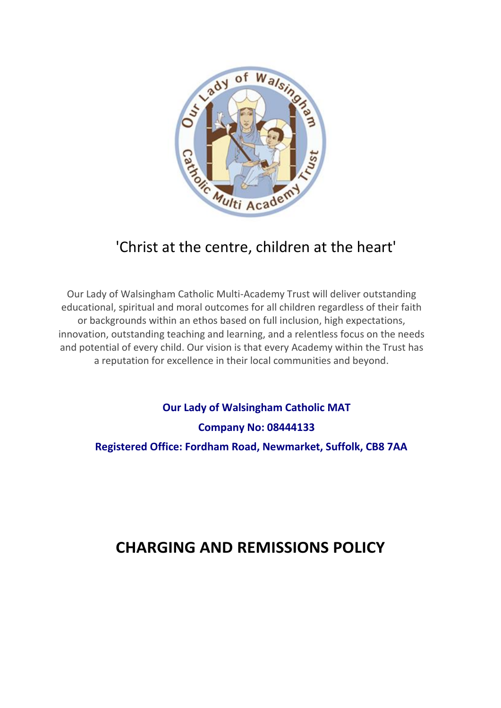

## 'Christ at the centre, children at the heart'

Our Lady of Walsingham Catholic Multi-Academy Trust will deliver outstanding educational, spiritual and moral outcomes for all children regardless of their faith or backgrounds within an ethos based on full inclusion, high expectations, innovation, outstanding teaching and learning, and a relentless focus on the needs and potential of every child. Our vision is that every Academy within the Trust has a reputation for excellence in their local communities and beyond.

**Our Lady of Walsingham Catholic MAT Company No: 08444133 Registered Office: Fordham Road, Newmarket, Suffolk, CB8 7AA**

# **CHARGING AND REMISSIONS POLICY**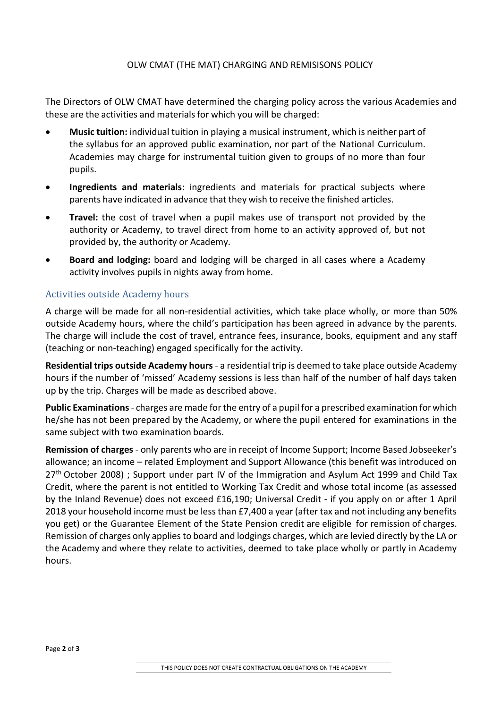#### OLW CMAT (THE MAT) CHARGING AND REMISISONS POLICY

The Directors of OLW CMAT have determined the charging policy across the various Academies and these are the activities and materials for which you will be charged:

- **Music tuition:** individual tuition in playing a musical instrument, which is neither part of the syllabus for an approved public examination, nor part of the National Curriculum. Academies may charge for instrumental tuition given to groups of no more than four pupils.
- **Ingredients and materials**: ingredients and materials for practical subjects where parents have indicated in advance that they wish to receive the finished articles.
- **Travel:** the cost of travel when a pupil makes use of transport not provided by the authority or Academy, to travel direct from home to an activity approved of, but not provided by, the authority or Academy.
- **Board and lodging:** board and lodging will be charged in all cases where a Academy activity involves pupils in nights away from home.

#### Activities outside Academy hours

A charge will be made for all non-residential activities, which take place wholly, or more than 50% outside Academy hours, where the child's participation has been agreed in advance by the parents. The charge will include the cost of travel, entrance fees, insurance, books, equipment and any staff (teaching or non-teaching) engaged specifically for the activity.

**Residential trips outside Academy hours** - a residential trip is deemed to take place outside Academy hours if the number of 'missed' Academy sessions is less than half of the number of half days taken up by the trip. Charges will be made as described above.

**Public Examinations** - charges are made for the entry of a pupil for a prescribed examination forwhich he/she has not been prepared by the Academy, or where the pupil entered for examinations in the same subject with two examination boards.

**Remission of charges** - only parents who are in receipt of Income Support; Income Based Jobseeker's allowance; an income – related Employment and Support Allowance (this benefit was introduced on 27<sup>th</sup> October 2008) ; Support under part IV of the Immigration and Asylum Act 1999 and Child Tax Credit, where the parent is not entitled to Working Tax Credit and whose total income (as assessed by the Inland Revenue) does not exceed £16,190; Universal Credit - if you apply on or after 1 April 2018 your household income must be less than £7,400 a year (after tax and not including any benefits you get) or the Guarantee Element of the State Pension credit are eligible for remission of charges. Remission of charges only appliesto board and lodgings charges, which are levied directly by the LA or the Academy and where they relate to activities, deemed to take place wholly or partly in Academy hours.